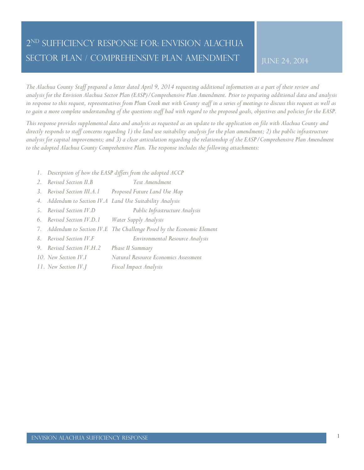# 2 ND SUFFICIENCY RESPONSE FOR: ENVISION ALACHUA SECTOR PLAN / COMPREHENSIVE PLAN AMENDMENT

JUNE 24, 2014

*The Alachua County Staff prepared a letter dated April 9, 2014 requesting additional information as a part of their review and analysis for the Envision Alachua Sector Plan (EASP)/Comprehensive Plan Amendment. Prior to preparing additional data and analysis in response to this request, representatives from Plum Creek met with County staff in a series of meetings to discuss this request as well as to gain a more complete understanding of the questions staff had with regard to the proposed goals, objectives and policies for the EASP.* 

*This response provides supplemental data and analysis as requested as an update to the application on file with Alachua County and directly responds to staff concerns regarding 1) the land use suitability analysis for the plan amendment; 2) the public infrastructure analysis for capital improvements; and 3) a clear articulation regarding the relationship of the EASP/Comprehensive Plan Amendment to the adopted Alachua County Comprehensive Plan. The response includes the following attachments:* 

- *1. Description of how the EASP differs from the adopted ACCP*
- *2. Revised Section II.B Text Amendment*
- *3. Revised Section III.A.1 Proposed Future Land Use Map*
- *4. Addendum to Section IV.A Land Use Suitability Analysis*
- *5. Revised Section IV.D Public Infrastructure Analysis*
- *6. Revised Section IV.D.1 Water Supply Analysis*
- *7. Addendum to Section IV.E The Challenge Posed by the Economic Element*
- *8. Revised Section IV.F Environmental Resource Analysis*
- *9. Revised Section IV.H.2 Phase II Summary*
- *10. New Section IV.I Natural Resource Economics Assessment*
- *11. New Section IV.J Fiscal Impact Analysis*